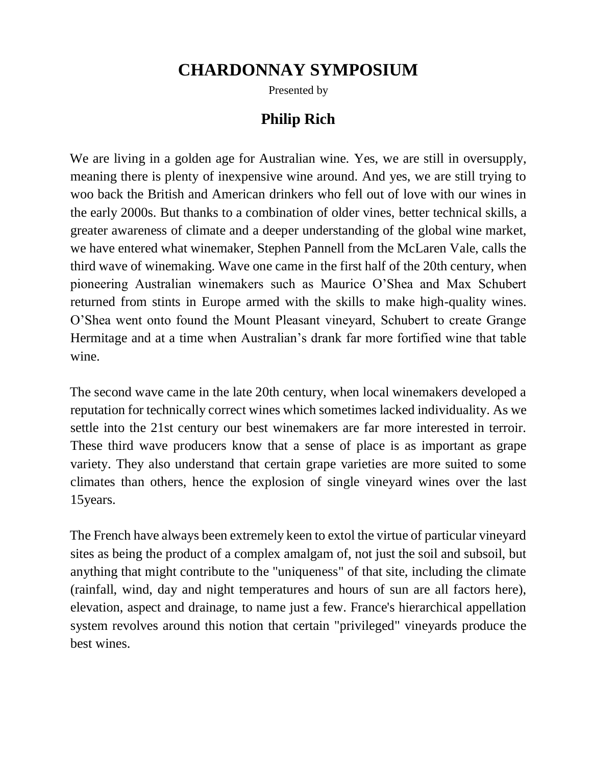## **CHARDONNAY SYMPOSIUM**

Presented by

## **Philip Rich**

We are living in a golden age for Australian wine. Yes, we are still in oversupply, meaning there is plenty of inexpensive wine around. And yes, we are still trying to woo back the British and American drinkers who fell out of love with our wines in the early 2000s. But thanks to a combination of older vines, better technical skills, a greater awareness of climate and a deeper understanding of the global wine market, we have entered what winemaker, Stephen Pannell from the McLaren Vale, calls the third wave of winemaking. Wave one came in the first half of the 20th century, when pioneering Australian winemakers such as Maurice O'Shea and Max Schubert returned from stints in Europe armed with the skills to make high-quality wines. O'Shea went onto found the Mount Pleasant vineyard, Schubert to create Grange Hermitage and at a time when Australian's drank far more fortified wine that table wine.

The second wave came in the late 20th century, when local winemakers developed a reputation for technically correct wines which sometimes lacked individuality. As we settle into the 21st century our best winemakers are far more interested in terroir. These third wave producers know that a sense of place is as important as grape variety. They also understand that certain grape varieties are more suited to some climates than others, hence the explosion of single vineyard wines over the last 15years.

The French have always been extremely keen to extol the virtue of particular vineyard sites as being the product of a complex amalgam of, not just the soil and subsoil, but anything that might contribute to the "uniqueness" of that site, including the climate (rainfall, wind, day and night temperatures and hours of sun are all factors here), elevation, aspect and drainage, to name just a few. France's hierarchical appellation system revolves around this notion that certain "privileged" vineyards produce the best wines.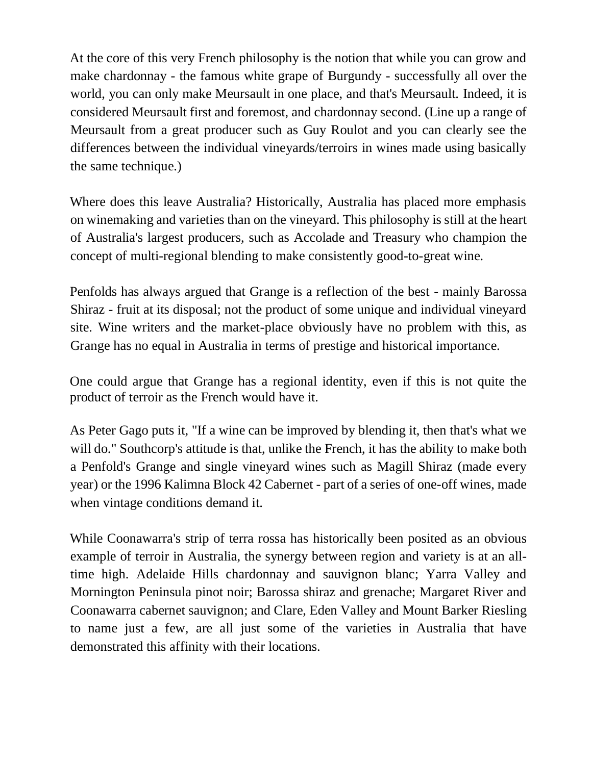At the core of this very French philosophy is the notion that while you can grow and make chardonnay - the famous white grape of Burgundy - successfully all over the world, you can only make Meursault in one place, and that's Meursault. Indeed, it is considered Meursault first and foremost, and chardonnay second. (Line up a range of Meursault from a great producer such as Guy Roulot and you can clearly see the differences between the individual vineyards/terroirs in wines made using basically the same technique.)

Where does this leave Australia? Historically, Australia has placed more emphasis on winemaking and varieties than on the vineyard. This philosophy is still at the heart of Australia's largest producers, such as Accolade and Treasury who champion the concept of multi-regional blending to make consistently good-to-great wine.

Penfolds has always argued that Grange is a reflection of the best - mainly Barossa Shiraz - fruit at its disposal; not the product of some unique and individual vineyard site. Wine writers and the market-place obviously have no problem with this, as Grange has no equal in Australia in terms of prestige and historical importance.

One could argue that Grange has a regional identity, even if this is not quite the product of terroir as the French would have it.

As Peter Gago puts it, "If a wine can be improved by blending it, then that's what we will do." Southcorp's attitude is that, unlike the French, it has the ability to make both a Penfold's Grange and single vineyard wines such as Magill Shiraz (made every year) or the 1996 Kalimna Block 42 Cabernet - part of a series of one-off wines, made when vintage conditions demand it.

While Coonawarra's strip of terra rossa has historically been posited as an obvious example of terroir in Australia, the synergy between region and variety is at an alltime high. Adelaide Hills chardonnay and sauvignon blanc; Yarra Valley and Mornington Peninsula pinot noir; Barossa shiraz and grenache; Margaret River and Coonawarra cabernet sauvignon; and Clare, Eden Valley and Mount Barker Riesling to name just a few, are all just some of the varieties in Australia that have demonstrated this affinity with their locations.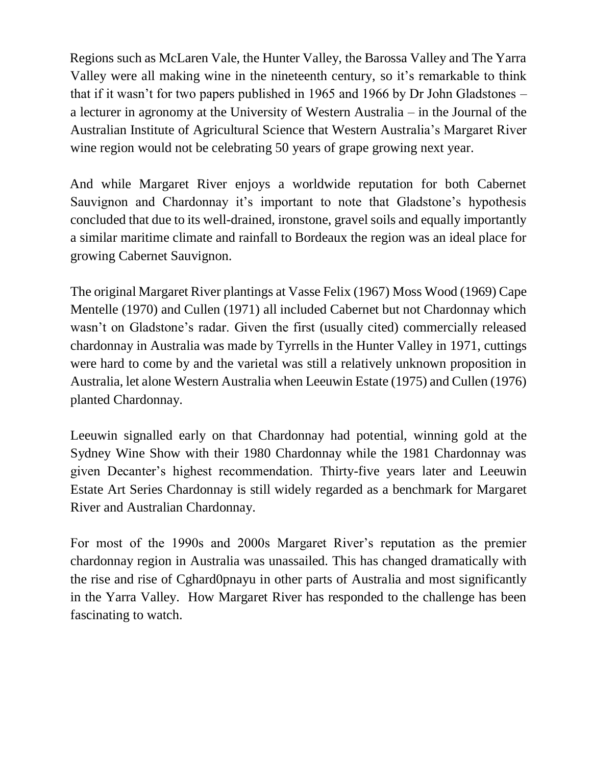Regions such as McLaren Vale, the Hunter Valley, the Barossa Valley and The Yarra Valley were all making wine in the nineteenth century, so it's remarkable to think that if it wasn't for two papers published in 1965 and 1966 by Dr John Gladstones – a lecturer in agronomy at the University of Western Australia – in the Journal of the Australian Institute of Agricultural Science that Western Australia's Margaret River wine region would not be celebrating 50 years of grape growing next year.

And while Margaret River enjoys a worldwide reputation for both Cabernet Sauvignon and Chardonnay it's important to note that Gladstone's hypothesis concluded that due to its well-drained, ironstone, gravel soils and equally importantly a similar maritime climate and rainfall to Bordeaux the region was an ideal place for growing Cabernet Sauvignon.

The original Margaret River plantings at Vasse Felix (1967) Moss Wood (1969) Cape Mentelle (1970) and Cullen (1971) all included Cabernet but not Chardonnay which wasn't on Gladstone's radar. Given the first (usually cited) commercially released chardonnay in Australia was made by Tyrrells in the Hunter Valley in 1971, cuttings were hard to come by and the varietal was still a relatively unknown proposition in Australia, let alone Western Australia when Leeuwin Estate (1975) and Cullen (1976) planted Chardonnay.

Leeuwin signalled early on that Chardonnay had potential, winning gold at the Sydney Wine Show with their 1980 Chardonnay while the 1981 Chardonnay was given Decanter's highest recommendation. Thirty-five years later and Leeuwin Estate Art Series Chardonnay is still widely regarded as a benchmark for Margaret River and Australian Chardonnay.

For most of the 1990s and 2000s Margaret River's reputation as the premier chardonnay region in Australia was unassailed. This has changed dramatically with the rise and rise of Cghard0pnayu in other parts of Australia and most significantly in the Yarra Valley. How Margaret River has responded to the challenge has been fascinating to watch.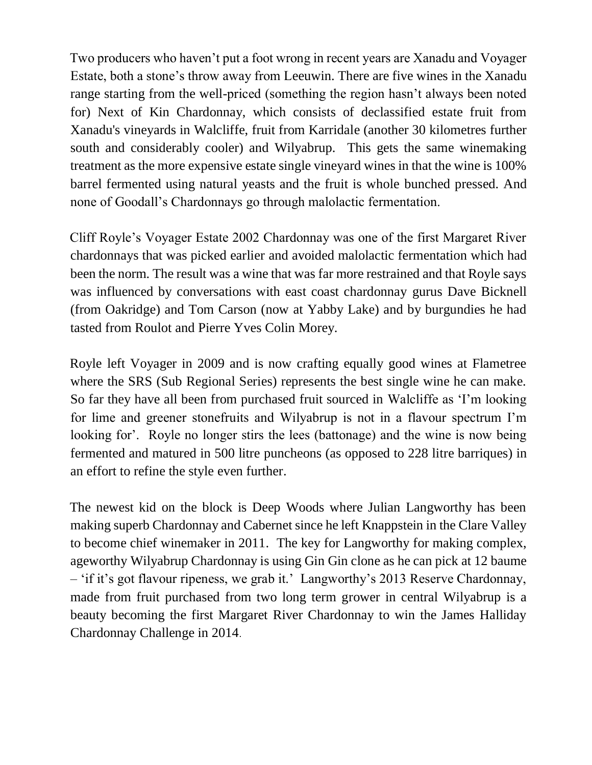Two producers who haven't put a foot wrong in recent years are Xanadu and Voyager Estate, both a stone's throw away from Leeuwin. There are five wines in the Xanadu range starting from the well-priced (something the region hasn't always been noted for) Next of Kin Chardonnay, which consists of declassified estate fruit from Xanadu's vineyards in Walcliffe, fruit from Karridale (another 30 kilometres further south and considerably cooler) and Wilyabrup. This gets the same winemaking treatment as the more expensive estate single vineyard wines in that the wine is 100% barrel fermented using natural yeasts and the fruit is whole bunched pressed. And none of Goodall's Chardonnays go through malolactic fermentation.

Cliff Royle's Voyager Estate 2002 Chardonnay was one of the first Margaret River chardonnays that was picked earlier and avoided malolactic fermentation which had been the norm. The result was a wine that was far more restrained and that Royle says was influenced by conversations with east coast chardonnay gurus Dave Bicknell (from Oakridge) and Tom Carson (now at Yabby Lake) and by burgundies he had tasted from Roulot and Pierre Yves Colin Morey.

Royle left Voyager in 2009 and is now crafting equally good wines at Flametree where the SRS (Sub Regional Series) represents the best single wine he can make. So far they have all been from purchased fruit sourced in Walcliffe as 'I'm looking for lime and greener stonefruits and Wilyabrup is not in a flavour spectrum I'm looking for'. Royle no longer stirs the lees (battonage) and the wine is now being fermented and matured in 500 litre puncheons (as opposed to 228 litre barriques) in an effort to refine the style even further.

The newest kid on the block is Deep Woods where Julian Langworthy has been making superb Chardonnay and Cabernet since he left Knappstein in the Clare Valley to become chief winemaker in 2011. The key for Langworthy for making complex, ageworthy Wilyabrup Chardonnay is using Gin Gin clone as he can pick at 12 baume – 'if it's got flavour ripeness, we grab it.' Langworthy's 2013 Reserve Chardonnay, made from fruit purchased from two long term grower in central Wilyabrup is a beauty becoming the first Margaret River Chardonnay to win the James Halliday Chardonnay Challenge in 2014.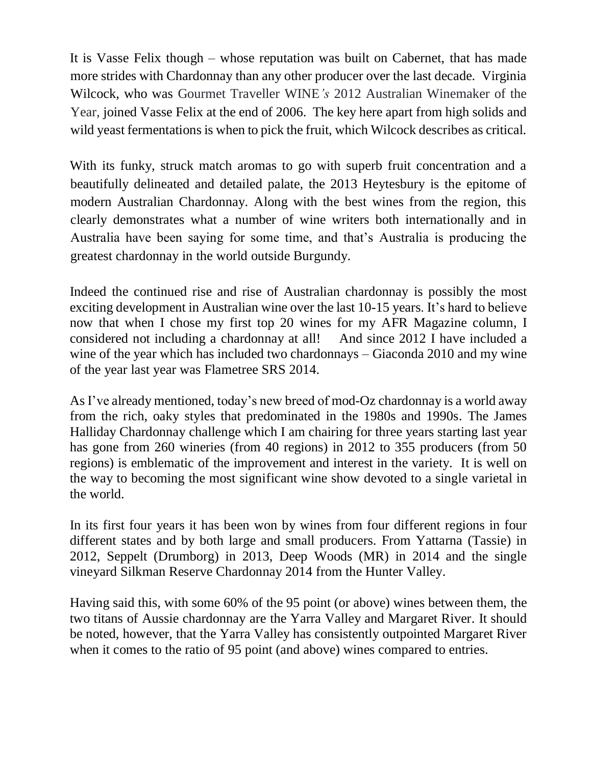It is Vasse Felix though – whose reputation was built on Cabernet, that has made more strides with Chardonnay than any other producer over the last decade. Virginia Wilcock, who was Gourmet Traveller WINE*'s* 2012 Australian Winemaker of the Year, joined Vasse Felix at the end of 2006. The key here apart from high solids and wild yeast fermentations is when to pick the fruit, which Wilcock describes as critical.

With its funky, struck match aromas to go with superb fruit concentration and a beautifully delineated and detailed palate, the 2013 Heytesbury is the epitome of modern Australian Chardonnay. Along with the best wines from the region, this clearly demonstrates what a number of wine writers both internationally and in Australia have been saying for some time, and that's Australia is producing the greatest chardonnay in the world outside Burgundy.

Indeed the continued rise and rise of Australian chardonnay is possibly the most exciting development in Australian wine over the last 10-15 years. It's hard to believe now that when I chose my first top 20 wines for my AFR Magazine column, I considered not including a chardonnay at all! And since 2012 I have included a wine of the year which has included two chardonnays – Giaconda 2010 and my wine of the year last year was Flametree SRS 2014.

As I've already mentioned, today's new breed of mod-Oz chardonnay is a world away from the rich, oaky styles that predominated in the 1980s and 1990s. The James Halliday Chardonnay challenge which I am chairing for three years starting last year has gone from 260 wineries (from 40 regions) in 2012 to 355 producers (from 50 regions) is emblematic of the improvement and interest in the variety. It is well on the way to becoming the most significant wine show devoted to a single varietal in the world.

In its first four years it has been won by wines from four different regions in four different states and by both large and small producers. From Yattarna (Tassie) in 2012, Seppelt (Drumborg) in 2013, Deep Woods (MR) in 2014 and the single vineyard Silkman Reserve Chardonnay 2014 from the Hunter Valley.

Having said this, with some 60% of the 95 point (or above) wines between them, the two titans of Aussie chardonnay are the Yarra Valley and Margaret River. It should be noted, however, that the Yarra Valley has consistently outpointed Margaret River when it comes to the ratio of 95 point (and above) wines compared to entries.